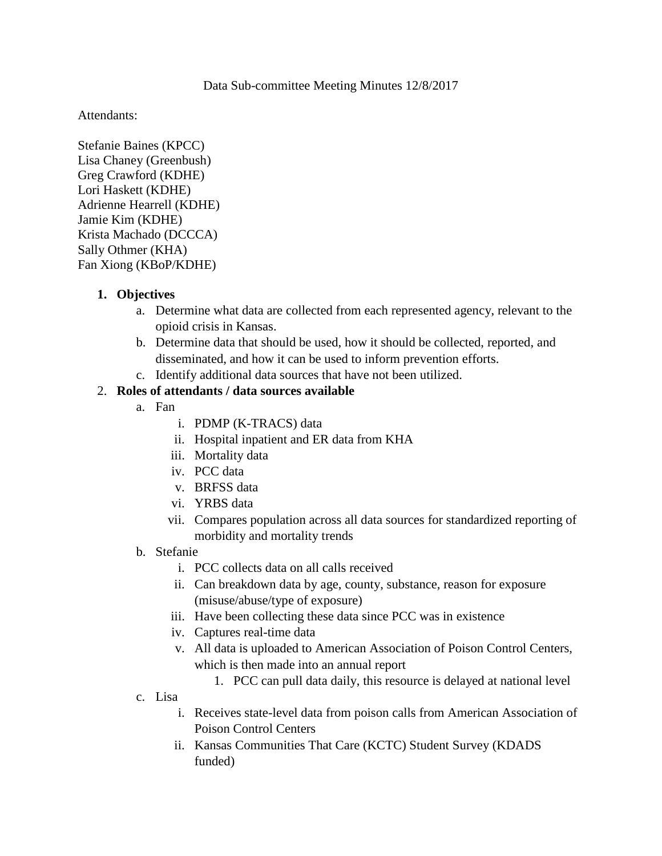## Data Sub-committee Meeting Minutes 12/8/2017

Attendants:

Stefanie Baines (KPCC) Lisa Chaney (Greenbush) Greg Crawford (KDHE) Lori Haskett (KDHE) Adrienne Hearrell (KDHE) Jamie Kim (KDHE) Krista Machado (DCCCA) Sally Othmer (KHA) Fan Xiong (KBoP/KDHE)

## **1. Objectives**

- a. Determine what data are collected from each represented agency, relevant to the opioid crisis in Kansas.
- b. Determine data that should be used, how it should be collected, reported, and disseminated, and how it can be used to inform prevention efforts.
- c. Identify additional data sources that have not been utilized.

## 2. **Roles of attendants / data sources available**

- a. Fan
	- i. PDMP (K-TRACS) data
	- ii. Hospital inpatient and ER data from KHA
	- iii. Mortality data
	- iv. PCC data
	- v. BRFSS data
	- vi. YRBS data
	- vii. Compares population across all data sources for standardized reporting of morbidity and mortality trends
- b. Stefanie
	- i. PCC collects data on all calls received
	- ii. Can breakdown data by age, county, substance, reason for exposure (misuse/abuse/type of exposure)
	- iii. Have been collecting these data since PCC was in existence
	- iv. Captures real-time data
	- v. All data is uploaded to American Association of Poison Control Centers, which is then made into an annual report
		- 1. PCC can pull data daily, this resource is delayed at national level
- c. Lisa
	- i. Receives state-level data from poison calls from American Association of Poison Control Centers
	- ii. Kansas Communities That Care (KCTC) Student Survey (KDADS funded)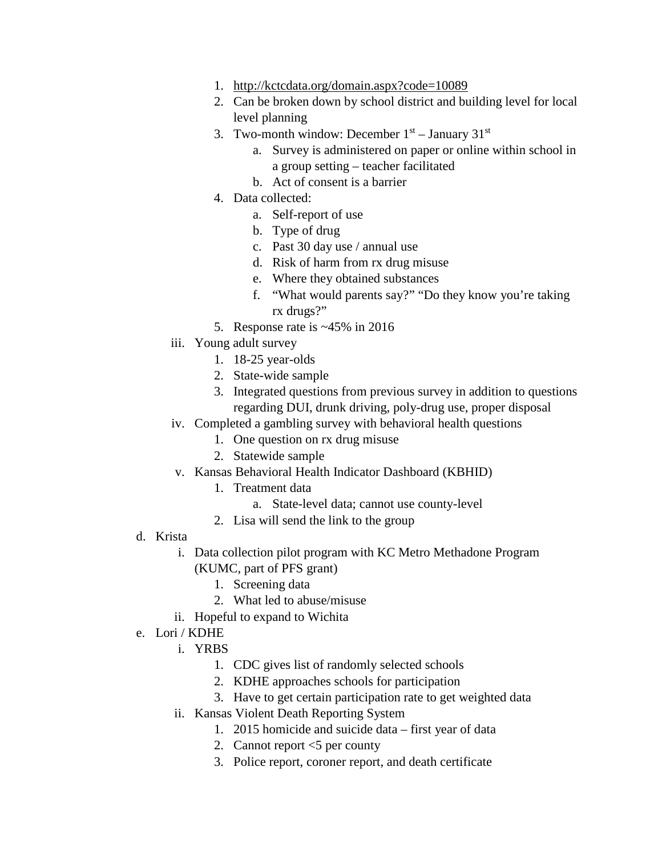- 1. <http://kctcdata.org/domain.aspx?code=10089>
- 2. Can be broken down by school district and building level for local level planning
- 3. Two-month window: December  $1<sup>st</sup>$  January  $31<sup>st</sup>$ 
	- a. Survey is administered on paper or online within school in a group setting – teacher facilitated
	- b. Act of consent is a barrier
- 4. Data collected:
	- a. Self-report of use
	- b. Type of drug
	- c. Past 30 day use / annual use
	- d. Risk of harm from rx drug misuse
	- e. Where they obtained substances
	- f. "What would parents say?" "Do they know you're taking rx drugs?"
- 5. Response rate is ~45% in 2016
- iii. Young adult survey
	- 1. 18-25 year-olds
	- 2. State-wide sample
	- 3. Integrated questions from previous survey in addition to questions regarding DUI, drunk driving, poly-drug use, proper disposal
- iv. Completed a gambling survey with behavioral health questions
	- 1. One question on rx drug misuse
	- 2. Statewide sample
- v. Kansas Behavioral Health Indicator Dashboard (KBHID)
	- 1. Treatment data
		- a. State-level data; cannot use county-level
	- 2. Lisa will send the link to the group
- d. Krista
	- i. Data collection pilot program with KC Metro Methadone Program (KUMC, part of PFS grant)
		- 1. Screening data
		- 2. What led to abuse/misuse
	- ii. Hopeful to expand to Wichita
- e. Lori / KDHE
	- i. YRBS
		- 1. CDC gives list of randomly selected schools
		- 2. KDHE approaches schools for participation
		- 3. Have to get certain participation rate to get weighted data
	- ii. Kansas Violent Death Reporting System
		- 1. 2015 homicide and suicide data first year of data
		- 2. Cannot report <5 per county
		- 3. Police report, coroner report, and death certificate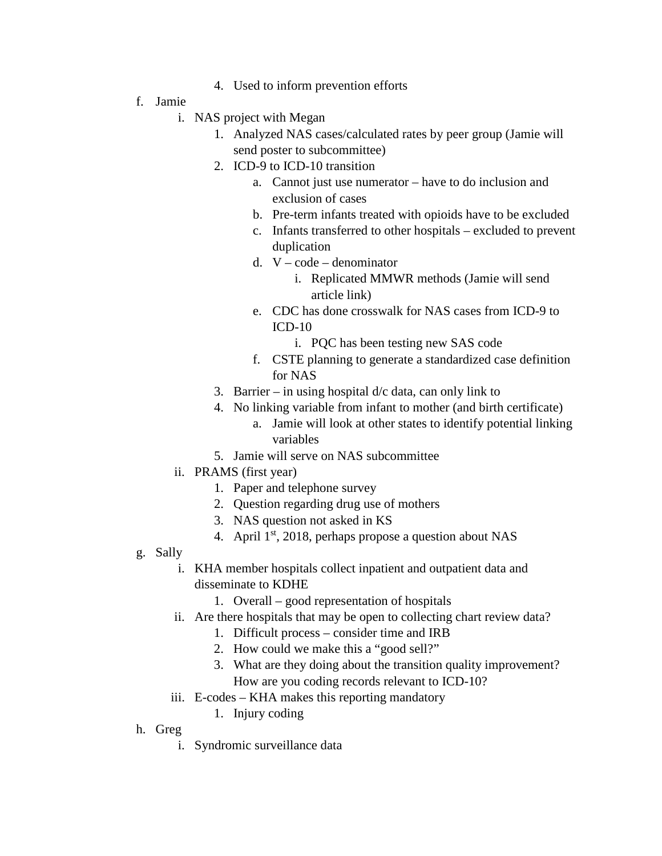- 4. Used to inform prevention efforts
- f. Jamie
	- i. NAS project with Megan
		- 1. Analyzed NAS cases/calculated rates by peer group (Jamie will send poster to subcommittee)
		- 2. ICD-9 to ICD-10 transition
			- a. Cannot just use numerator have to do inclusion and exclusion of cases
			- b. Pre-term infants treated with opioids have to be excluded
			- c. Infants transferred to other hospitals excluded to prevent duplication
			- d. V code denominator
				- i. Replicated MMWR methods (Jamie will send article link)
			- e. CDC has done crosswalk for NAS cases from ICD-9 to ICD-10
				- i. PQC has been testing new SAS code
			- f. CSTE planning to generate a standardized case definition for NAS
		- 3. Barrier in using hospital  $d/c$  data, can only link to
		- 4. No linking variable from infant to mother (and birth certificate)
			- a. Jamie will look at other states to identify potential linking variables
		- 5. Jamie will serve on NAS subcommittee
	- ii. PRAMS (first year)
		- 1. Paper and telephone survey
		- 2. Question regarding drug use of mothers
		- 3. NAS question not asked in KS
		- 4. April  $1<sup>st</sup>$ , 2018, perhaps propose a question about NAS
- g. Sally
	- i. KHA member hospitals collect inpatient and outpatient data and disseminate to KDHE
		- 1. Overall good representation of hospitals
	- ii. Are there hospitals that may be open to collecting chart review data?
		- 1. Difficult process consider time and IRB
		- 2. How could we make this a "good sell?"
		- 3. What are they doing about the transition quality improvement? How are you coding records relevant to ICD-10?
	- iii. E-codes KHA makes this reporting mandatory
		- 1. Injury coding
- h. Greg
	- i. Syndromic surveillance data